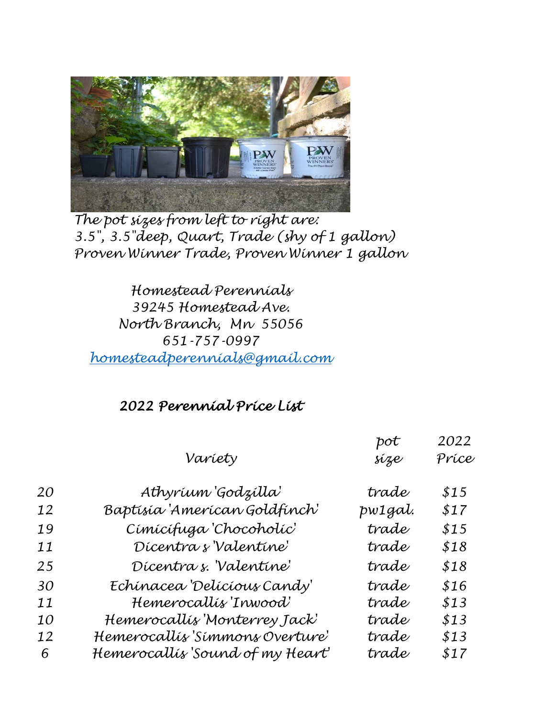

*The pot sizes from left to right are: 3.5", 3.5"deep, Quart, Trade (shy of 1 gallon) Proven Winner Trade, Proven Winner 1 gallon*

*Homestead Perennials 39245 Homestead Ave. North Branch, Mn 55056 651-757-0997 [homesteadperennials@gmail.com](mailto:homesteadperennials@gmail.com)*

## *2022 Perennial Price List*

|           |                                  | pot     | 2022  |
|-----------|----------------------------------|---------|-------|
|           | Variety                          | síze    | Príce |
| 20        | Athyríum 'Godzílla'              | trade   | \$15  |
| 12        | Baptísía 'Amerícan Goldfínch'    | pw1gal. | \$17  |
| 19        | Címícífuga 'Chocoholíc'          | trade   | \$15  |
| 11        | Dícentra s'Valentíne'            | trade   | \$18  |
| 25        | Dícentra s. Valentine'           | trade   | \$18  |
| 30        | Echínacea 'Delícíous Candy'      | trade   | \$16  |
| 11        | Hemerocallís 'Inwood'            | trade   | \$13  |
| <i>10</i> | Hemerocallís 'Monterrey Jack'    | trade   | \$13  |
| 12        | Hemerocallís 'Símmons Overture'  | trade   | \$13  |
| 6         | Hemerocallís 'Sound of my Heart' | trade   | \$17  |
|           |                                  |         |       |